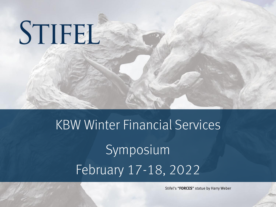# STIFEL

# KBW Winter Financial Services Symposium February 17-18, 2022

Stifel's "FORCES" statue by Harry Weber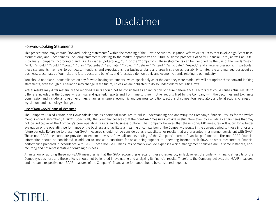# Disclaimer

#### Forward-Looking Statements

This presentation may contain "forward-looking statements" within the meaning of the Private Securities Litigation Reform Act of 1995 that involve significant risks, assumptions, and uncertainties, including statements relating to the market opportunity and future business prospects of Stifel Financial Corp., as well as Stifel, Nicolaus & Company, Incorporated and its subsidiaries (collectively, "SF" or the "Company"). These statements can be identified by the use of the words "may," "will," "should," "could," "would," "plan," "potential," "estimate," "project," "believe," "intend," "anticipate," "expect," and similar expressions. In particular, these statements may refer to our goals, intentions, and expectations, our business plans and growth strategies, our ability to integrate and manage our acquired businesses, estimates of our risks and future costs and benefits, and forecasted demographic and economic trends relating to our industry.

You should not place undue reliance on any forward-looking statements, which speak only as of the date they were made. We will not update these forward-looking statements, even though our situation may change in the future, unless we are obligated to do so under federal securities laws.

Actual results may differ materially and reported results should not be considered as an indication of future performance. Factors that could cause actual results to differ are included in the Company's annual and quarterly reports and from time to time in other reports filed by the Company with the Securities and Exchange Commission and include, among other things, changes in general economic and business conditions, actions of competitors, regulatory and legal actions, changes in legislation, and technology changes.

#### Use of Non-GAAP Financial Measures

The Company utilized certain non-GAAP calculations as additional measures to aid in understanding and analyzing the Company's financial results for the twelve months ended December 31, 2021. Specifically, the Company believes that the non-GAAP measures provide useful information by excluding certain items that may not be indicative of the Company's core operating results and business outlook. The Company believes that these non-GAAP measures will allow for a better evaluation of the operating performance of the business and facilitate a meaningful comparison of the Company's results in the current period to those in prior and future periods. Reference to these non-GAAP measures should not be considered as a substitute for results that are presented in a manner consistent with GAAP. These non-GAAP measures are provided to enhance investors' overall understanding of the Company's current financial performance. The non-GAAP financial information should be considered in addition to, not as a substitute for or as being superior to, operating income, cash flows, or other measures of financial performance prepared in accordance with GAAP. These non-GAAP measures primarily exclude expenses which management believes are, in some instances, nonrecurring and not representative of ongoing business.

A limitation of utilizing these non-GAAP measures is that the GAAP accounting effects of these charges do, in fact, reflect the underlying financial results of the Company's business and these effects should not be ignored in evaluating and analyzing its financial results. Therefore, the Company believes that GAAP measures and the same respective non-GAAP measures of the Company's financial performance should be considered together.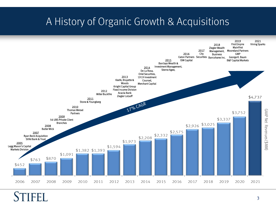# A History of Organic Growth & Acquisitions

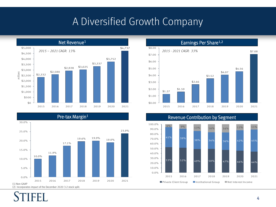### A Diversified Growth Company



#### Pre-tax Margin<sup>1</sup>





#### Revenue Contribution by Segment

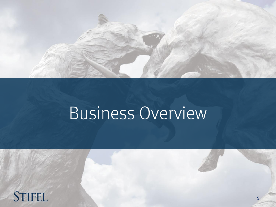

# Business Overview

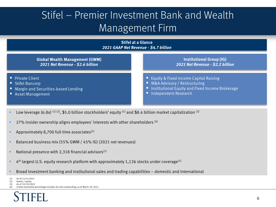# Stifel – Premier Investment Bank and Wealth Management Firm



- Usingleright Upitalization (3) Low leverage (6.8x) (1) (2), \$5.0 billion market capitalization (3) Usingleright M L
- 27% Insider ownership aligns employees' interests with other shareholders  $^{(4)}$
- **Approximately 8,700 full-time associates**<sup>(1)</sup>
- Balanced business mix (55% GWM / 45% IG) (2021 net revenues)
- National presence with 2,318 financial advisors<sup>(1)</sup>
- $\blacksquare$  4<sup>th</sup> largest U.S. equity research platform with approximately 1,126 stocks under coverage<sup>(1)</sup>
- Broad investment banking and institutional sales and trading capabilities domestic and international
- (1) As of 12/31/2021
- (2) Assets / equity. (3) As of 02/10/2022

Insider ownership percentage includes all units outstanding, as of March 29, 2021.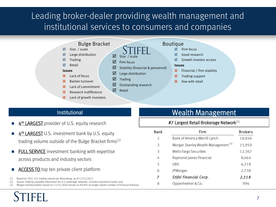### Leading broker-dealer providing wealth management and institutional services to consumers and companies

 $\boxtimes$  Stability (financial & personnel)

 $\boxtimes$  Size / scale  $\boxtimes$  Firm focus

 $\boxtimes$  Trading

 $\boxtimes$  Retail

 $\boxtimes$  Large distribution

 $\boxtimes$  Outstanding research



 $\boxtimes$  Trading  $\nabla$  Retail

#### **Issues**

- **E** Lack of focus
- $\overline{\mathbf{x}}$  Banker turnover
- $\boxtimes$  Lack of commitment
- **E** Research indifference
- $\triangleright$  Lack of growth investors

#### Bulge Bracket Boutique

- $\boxtimes$  Firm focus
- Good research
- Growth investor access

#### **Issues**

- $\boxtimes$  Financial / firm stability
- $\boxtimes$  Trading support
- $E$  Few with retail

- **4<sup>th</sup> LARGEST** provider of U.S. equity research
- $\blacksquare$   $\Delta^{th}$  LARGEST U.S. investment bank by U.S. equity trading volume outside of the Bulge Bracket firms(1)
- **EULL SERVICE** investment banking with expertise across products and industry sectors
- **ACCESS TO** top ten private client platform
- (1) Based on 2021 U.S. trading volume per Bloomberg, as of 12/31/2021

(2) Source: Publicly available information for U.S. brokerage networks. Includes investment banks only.

(3) Morgan Stanley brokers based on 12/31/2020 results as the firm no longer reports number of Financial Advisors.

### Institutional Management

#### #7 Largest Retail Brokerage Network(2)

| Rank | Firm                                            | <b>Brokers</b> |
|------|-------------------------------------------------|----------------|
| 1    | Bank of America Merrill Lynch                   | 18,846         |
| 2    | Morgan Stanley Wealth Management <sup>(3)</sup> | 15,950         |
| 3    | Wells Fargo Securities                          | 12,367         |
| 4    | Raymond James Financial                         | 8.464          |
| 5    | UBS                                             | 6,218          |
| 6    | JPMorgan                                        | 2,738          |
| 7    | Stifel Financial Corp.                          | 2,318          |
| 8    | Oppenheimer & Co.                               | 996            |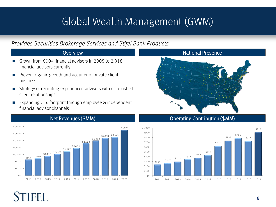# Global Wealth Management (GWM)

### *Provides Securities Brokerage Services and Stifel Bank Products*

- Grown from 600+ financial advisors in 2005 to 2,318 financial advisors currently
- **Proven organic growth and acquirer of private client** business
- Strategy of recruiting experienced advisors with established client relationships
- Expanding U.S. footprint through employee & independent financial advisor channels

### Overview National Presence





### Net Revenues (\$MM) Net Revenues (\$MM)

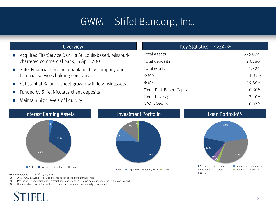# GWM – Stifel Bancorp, Inc.

- Acquired FirstService Bank, a St. Louis-based, Missourichartered commercial bank, in April 2007
- Stifel Financial became a bank holding company and financial services holding company
- Substantial Balance sheet growth with low-risk assets
- **Funded by Stifel Nicolaus client deposits**
- **Maintain high levels of liquidity**

| <b>Overview</b>                    | Key Statistics (millions) <sup>(1)(2)</sup> |          |  |
|------------------------------------|---------------------------------------------|----------|--|
| Bank, a St. Louis-based, Missouri- | Total assets                                | \$25,074 |  |
| bank, in April 2007                | Total deposits                              | 23,280   |  |
| e a bank holding company and       | Total equity                                | 1,721    |  |
| ling company                       | <b>ROAA</b>                                 | 1.35%    |  |
| heet growth with low-risk assets   | <b>ROAE</b>                                 | 19.30%   |  |
| aus client deposits                | Tier 1 Risk Based Capital                   | 10.60%   |  |
| f liquidity                        | Tier 1 Leverage                             | 7.10%    |  |
|                                    | NPAs/Assets                                 | 0.07%    |  |



Note: Key Statistic Data as of 12/31/2021.

- (1) ROAA, ROAE, as well as Tier 1 capital ratios specific to Stifel Bank & Trust
- (2) NPAs include: nonaccrual loans, restructured loans, loans 90+ days past due, and other real estate owned.
- (3) Other includes construction and land, consumer loans, and home equity lines of credit.